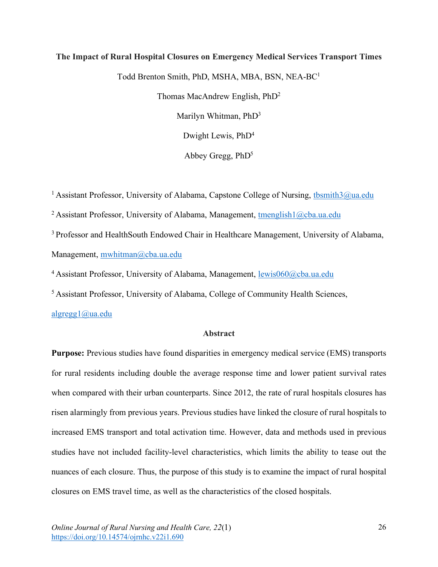# **The Impact of Rural Hospital Closures on Emergency Medical Services Transport Times**

Todd Brenton Smith, PhD, MSHA, MBA, BSN, NEA-BC1

Thomas MacAndrew English, PhD2

Marilyn Whitman, PhD<sup>3</sup>

Dwight Lewis, PhD4

Abbey Gregg,  $PhD<sup>5</sup>$ 

<sup>1</sup> Assistant Professor, University of Alabama, Capstone College of Nursing, the smith 3@ua.edu

<sup>2</sup> Assistant Professor, University of Alabama, Management, tmenglish $1$ @cba.ua.edu

<sup>3</sup> Professor and HealthSouth Endowed Chair in Healthcare Management, University of Alabama, Management, mwhitman@cba.ua.edu

<sup>4</sup> Assistant Professor, University of Alabama, Management, lewis060@cba.ua.edu

5 Assistant Professor, University of Alabama, College of Community Health Sciences,

algregg1@ua.edu

### **Abstract**

**Purpose:** Previous studies have found disparities in emergency medical service (EMS) transports for rural residents including double the average response time and lower patient survival rates when compared with their urban counterparts. Since 2012, the rate of rural hospitals closures has risen alarmingly from previous years. Previous studies have linked the closure of rural hospitals to increased EMS transport and total activation time. However, data and methods used in previous studies have not included facility-level characteristics, which limits the ability to tease out the nuances of each closure. Thus, the purpose of this study is to examine the impact of rural hospital closures on EMS travel time, as well as the characteristics of the closed hospitals.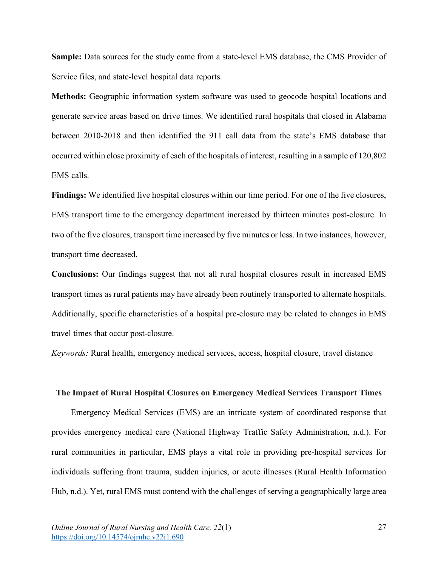**Sample:** Data sources for the study came from a state-level EMS database, the CMS Provider of Service files, and state-level hospital data reports.

**Methods:** Geographic information system software was used to geocode hospital locations and generate service areas based on drive times. We identified rural hospitals that closed in Alabama between 2010-2018 and then identified the 911 call data from the state's EMS database that occurred within close proximity of each of the hospitals of interest, resulting in a sample of 120,802 EMS calls.

**Findings:** We identified five hospital closures within our time period. For one of the five closures, EMS transport time to the emergency department increased by thirteen minutes post-closure. In two of the five closures, transport time increased by five minutes or less. In two instances, however, transport time decreased.

**Conclusions:** Our findings suggest that not all rural hospital closures result in increased EMS transport times as rural patients may have already been routinely transported to alternate hospitals. Additionally, specific characteristics of a hospital pre-closure may be related to changes in EMS travel times that occur post-closure.

*Keywords:* Rural health, emergency medical services, access, hospital closure, travel distance

#### **The Impact of Rural Hospital Closures on Emergency Medical Services Transport Times**

Emergency Medical Services (EMS) are an intricate system of coordinated response that provides emergency medical care (National Highway Traffic Safety Administration, n.d.). For rural communities in particular, EMS plays a vital role in providing pre-hospital services for individuals suffering from trauma, sudden injuries, or acute illnesses (Rural Health Information Hub, n.d.). Yet, rural EMS must contend with the challenges of serving a geographically large area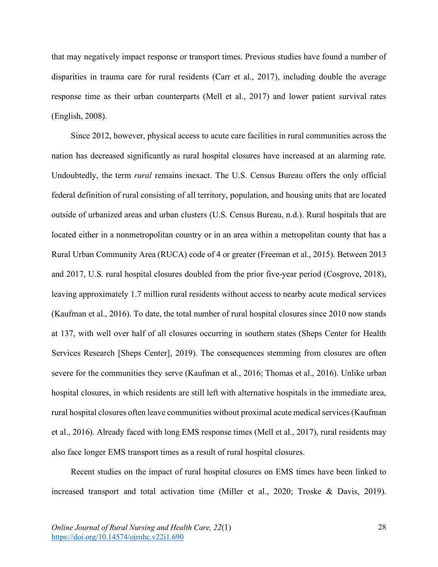that may negatively impact response or transport times. Previous studies have found a number of disparities in trauma care for rural residents (Carr et al., 2017), including double the average response time as their urban counterparts (Mell et al., 2017) and lower patient survival rates (English, 2008).

Since 2012, however, physical access to acute care facilities in rural communities across the nation has decreased significantly as rural hospital closures have increased at an alarming rate. Undoubtedly, the term *rural* remains inexact. The U.S. Census Bureau offers the only official federal definition of rural consisting of all territory, population, and housing units that are located outside of urbanized areas and urban clusters (U.S. Census Bureau, n.d.). Rural hospitals that are located either in a nonmetropolitan country or in an area within a metropolitan county that has a Rural Urban Community Area (RUCA) code of 4 or greater (Freeman et al., 2015). Between 2013 and 2017, U.S. rural hospital closures doubled from the prior five-year period (Cosgrove, 2018), leaving approximately 1.7 million rural residents without access to nearby acute medical services (Kaufman et al., 2016). To date, the total number of rural hospital closures since 2010 now stands at 137, with well over half of all closures occurring in southern states (Sheps Center for Health Services Research [Sheps Center], 2019). The consequences stemming from closures are often severe for the communities they serve (Kaufman et al., 2016; Thomas et al., 2016). Unlike urban hospital closures, in which residents are still left with alternative hospitals in the immediate area, rural hospital closures often leave communities without proximal acute medical services (Kaufman et al., 2016). Already faced with long EMS response times (Mell et al., 2017), rural residents may also face longer EMS transport times as a result of rural hospital closures.

Recent studies on the impact of rural hospital closures on EMS times have been linked to increased transport and total activation time (Miller et al., 2020; Troske & Davis, 2019).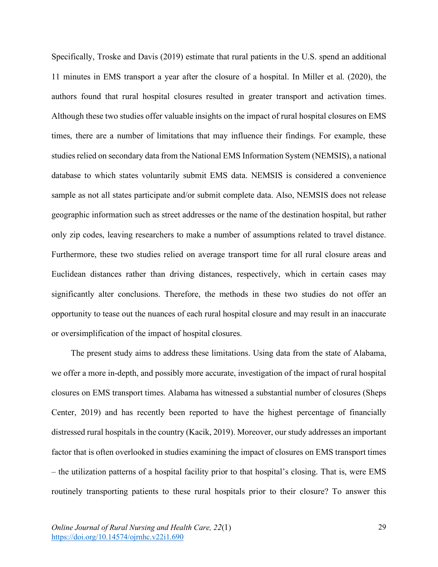Specifically, Troske and Davis (2019) estimate that rural patients in the U.S. spend an additional 11 minutes in EMS transport a year after the closure of a hospital. In Miller et al. (2020), the authors found that rural hospital closures resulted in greater transport and activation times. Although these two studies offer valuable insights on the impact of rural hospital closures on EMS times, there are a number of limitations that may influence their findings. For example, these studies relied on secondary data from the National EMS Information System (NEMSIS), a national database to which states voluntarily submit EMS data. NEMSIS is considered a convenience sample as not all states participate and/or submit complete data. Also, NEMSIS does not release geographic information such as street addresses or the name of the destination hospital, but rather only zip codes, leaving researchers to make a number of assumptions related to travel distance. Furthermore, these two studies relied on average transport time for all rural closure areas and Euclidean distances rather than driving distances, respectively, which in certain cases may significantly alter conclusions. Therefore, the methods in these two studies do not offer an opportunity to tease out the nuances of each rural hospital closure and may result in an inaccurate or oversimplification of the impact of hospital closures.

The present study aims to address these limitations. Using data from the state of Alabama, we offer a more in-depth, and possibly more accurate, investigation of the impact of rural hospital closures on EMS transport times. Alabama has witnessed a substantial number of closures (Sheps Center, 2019) and has recently been reported to have the highest percentage of financially distressed rural hospitals in the country (Kacik, 2019). Moreover, our study addresses an important factor that is often overlooked in studies examining the impact of closures on EMS transport times – the utilization patterns of a hospital facility prior to that hospital's closing. That is, were EMS routinely transporting patients to these rural hospitals prior to their closure? To answer this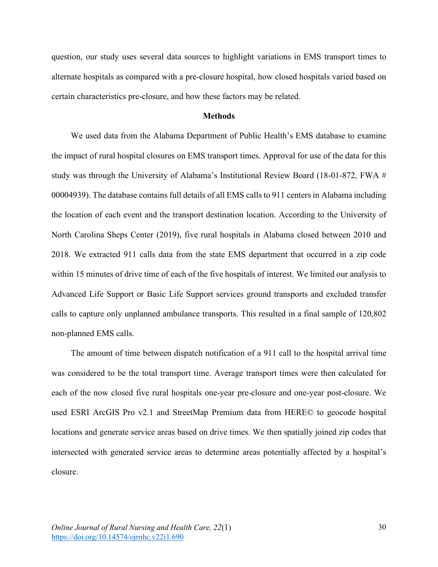question, our study uses several data sources to highlight variations in EMS transport times to alternate hospitals as compared with a pre-closure hospital, how closed hospitals varied based on certain characteristics pre-closure, and how these factors may be related.

#### **Methods**

We used data from the Alabama Department of Public Health's EMS database to examine the impact of rural hospital closures on EMS transport times. Approval for use of the data for this study was through the University of Alabama's Institutional Review Board (18-01-872, FWA # 00004939). The database contains full details of all EMS calls to 911 centers in Alabama including the location of each event and the transport destination location. According to the University of North Carolina Sheps Center (2019), five rural hospitals in Alabama closed between 2010 and 2018. We extracted 911 calls data from the state EMS department that occurred in a zip code within 15 minutes of drive time of each of the five hospitals of interest. We limited our analysis to Advanced Life Support or Basic Life Support services ground transports and excluded transfer calls to capture only unplanned ambulance transports. This resulted in a final sample of 120,802 non-planned EMS calls.

The amount of time between dispatch notification of a 911 call to the hospital arrival time was considered to be the total transport time. Average transport times were then calculated for each of the now closed five rural hospitals one-year pre-closure and one-year post-closure. We used ESRI ArcGIS Pro v2.1 and StreetMap Premium data from HERE© to geocode hospital locations and generate service areas based on drive times. We then spatially joined zip codes that intersected with generated service areas to determine areas potentially affected by a hospital's closure.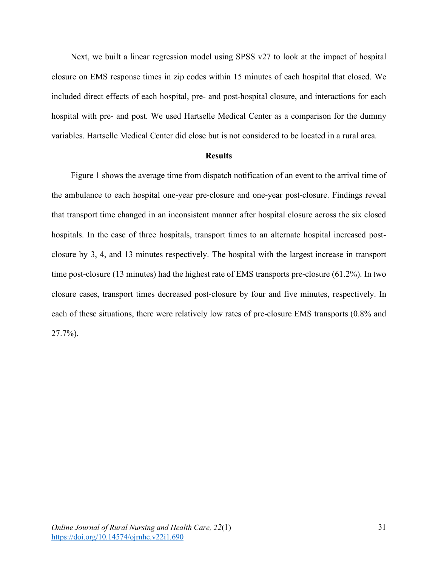Next, we built a linear regression model using SPSS v27 to look at the impact of hospital closure on EMS response times in zip codes within 15 minutes of each hospital that closed. We included direct effects of each hospital, pre- and post-hospital closure, and interactions for each hospital with pre- and post. We used Hartselle Medical Center as a comparison for the dummy variables. Hartselle Medical Center did close but is not considered to be located in a rural area.

#### **Results**

Figure 1 shows the average time from dispatch notification of an event to the arrival time of the ambulance to each hospital one-year pre-closure and one-year post-closure. Findings reveal that transport time changed in an inconsistent manner after hospital closure across the six closed hospitals. In the case of three hospitals, transport times to an alternate hospital increased postclosure by 3, 4, and 13 minutes respectively. The hospital with the largest increase in transport time post-closure (13 minutes) had the highest rate of EMS transports pre-closure (61.2%). In two closure cases, transport times decreased post-closure by four and five minutes, respectively. In each of these situations, there were relatively low rates of pre-closure EMS transports (0.8% and 27.7%).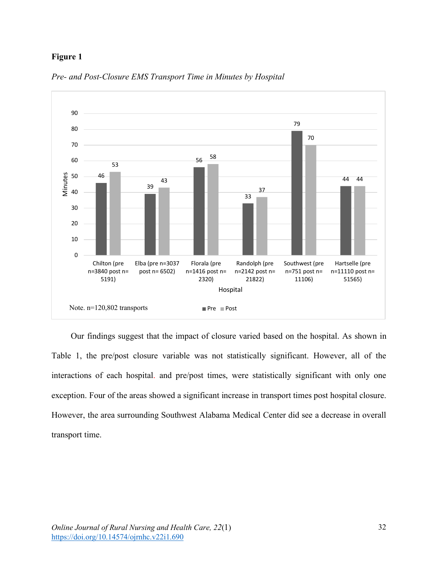# **Figure 1**



*Pre- and Post-Closure EMS Transport Time in Minutes by Hospital* 

Our findings suggest that the impact of closure varied based on the hospital. As shown in Table 1, the pre/post closure variable was not statistically significant. However, all of the interactions of each hospital. and pre/post times, were statistically significant with only one exception. Four of the areas showed a significant increase in transport times post hospital closure. However, the area surrounding Southwest Alabama Medical Center did see a decrease in overall transport time.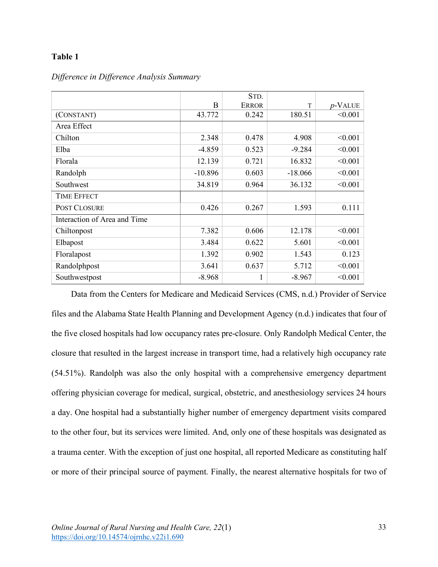# **Table 1**

|                              |           | STD.         |           |            |
|------------------------------|-----------|--------------|-----------|------------|
|                              | B         | <b>ERROR</b> | T         | $p$ -VALUE |
| (CONSTANT)                   | 43.772    | 0.242        | 180.51    | < 0.001    |
| Area Effect                  |           |              |           |            |
| Chilton                      | 2.348     | 0.478        | 4.908     | < 0.001    |
| Elba                         | $-4.859$  | 0.523        | $-9.284$  | < 0.001    |
| Florala                      | 12.139    | 0.721        | 16.832    | < 0.001    |
| Randolph                     | $-10.896$ | 0.603        | $-18.066$ | < 0.001    |
| Southwest                    | 34.819    | 0.964        | 36.132    | < 0.001    |
| <b>TIME EFFECT</b>           |           |              |           |            |
| POST CLOSURE                 | 0.426     | 0.267        | 1.593     | 0.111      |
| Interaction of Area and Time |           |              |           |            |
| Chiltonpost                  | 7.382     | 0.606        | 12.178    | < 0.001    |
| Elbapost                     | 3.484     | 0.622        | 5.601     | < 0.001    |
| Floralapost                  | 1.392     | 0.902        | 1.543     | 0.123      |
| Randolphpost                 | 3.641     | 0.637        | 5.712     | < 0.001    |
| Southwestpost                | $-8.968$  | 1            | $-8.967$  | < 0.001    |

*Difference in Difference Analysis Summary*

Data from the Centers for Medicare and Medicaid Services (CMS, n.d.) Provider of Service files and the Alabama State Health Planning and Development Agency (n.d.) indicates that four of the five closed hospitals had low occupancy rates pre-closure. Only Randolph Medical Center, the closure that resulted in the largest increase in transport time, had a relatively high occupancy rate (54.51%). Randolph was also the only hospital with a comprehensive emergency department offering physician coverage for medical, surgical, obstetric, and anesthesiology services 24 hours a day. One hospital had a substantially higher number of emergency department visits compared to the other four, but its services were limited. And, only one of these hospitals was designated as a trauma center. With the exception of just one hospital, all reported Medicare as constituting half or more of their principal source of payment. Finally, the nearest alternative hospitals for two of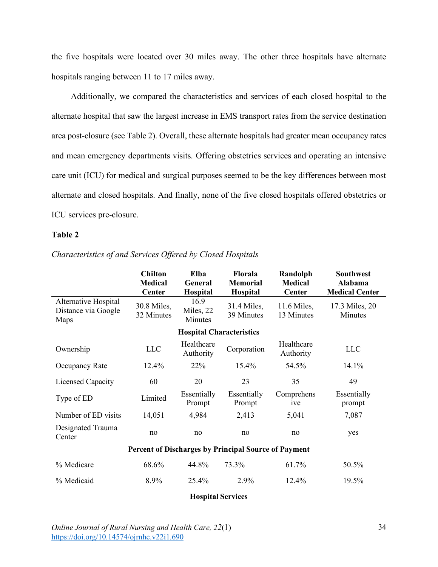the five hospitals were located over 30 miles away. The other three hospitals have alternate hospitals ranging between 11 to 17 miles away.

Additionally, we compared the characteristics and services of each closed hospital to the alternate hospital that saw the largest increase in EMS transport rates from the service destination area post-closure (see Table 2). Overall, these alternate hospitals had greater mean occupancy rates and mean emergency departments visits. Offering obstetrics services and operating an intensive care unit (ICU) for medical and surgical purposes seemed to be the key differences between most alternate and closed hospitals. And finally, none of the five closed hospitals offered obstetrics or ICU services pre-closure.

### **Table 2**

|                                                      | <b>Chilton</b><br><b>Medical</b> | Elba<br>General              | <b>Florala</b><br><b>Memorial</b> | Randolph<br><b>Medical</b> | <b>Southwest</b><br>Alabama |  |  |
|------------------------------------------------------|----------------------------------|------------------------------|-----------------------------------|----------------------------|-----------------------------|--|--|
|                                                      | Center                           | Hospital                     | Hospital                          | <b>Center</b>              | <b>Medical Center</b>       |  |  |
| Alternative Hospital<br>Distance via Google<br>Maps  | 30.8 Miles,<br>32 Minutes        | 16.9<br>Miles, 22<br>Minutes | 31.4 Miles,<br>39 Minutes         | 11.6 Miles,<br>13 Minutes  | 17.3 Miles, 20<br>Minutes   |  |  |
| <b>Hospital Characteristics</b>                      |                                  |                              |                                   |                            |                             |  |  |
| Ownership                                            | <b>LLC</b>                       | Healthcare<br>Authority      | Corporation                       | Healthcare<br>Authority    | <b>LLC</b>                  |  |  |
| Occupancy Rate                                       | 12.4%                            | 22%                          | 15.4%                             | 54.5%                      | 14.1%                       |  |  |
| Licensed Capacity                                    | 60                               | 20                           | 23                                | 35                         | 49                          |  |  |
| Type of ED                                           | Limited                          | Essentially<br>Prompt        | Essentially<br>Prompt             | Comprehens<br>ive          | Essentially<br>prompt       |  |  |
| Number of ED visits                                  | 14,051                           | 4,984                        | 2,413                             | 5,041                      | 7,087                       |  |  |
| Designated Trauma<br>Center                          | no                               | no                           | no                                | no                         | yes                         |  |  |
| Percent of Discharges by Principal Source of Payment |                                  |                              |                                   |                            |                             |  |  |
| % Medicare                                           | 68.6%                            | 44.8%                        | 73.3%                             | 61.7%                      | 50.5%                       |  |  |
| % Medicaid                                           | 8.9%                             | 25.4%                        | 2.9%                              | 12.4%                      | 19.5%                       |  |  |
| <b>Hospital Services</b>                             |                                  |                              |                                   |                            |                             |  |  |

*Characteristics of and Services Offered by Closed Hospitals*

*Online Journal of Rural Nursing and Health Care, 22*(1) https://doi.org/10.14574/ojrnhc.v22i1.690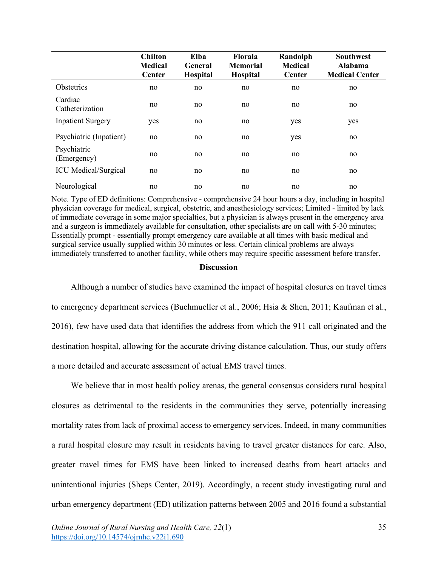|                             | <b>Chilton</b><br><b>Medical</b><br>Center | Elba<br>General<br><b>Hospital</b> | <b>Florala</b><br><b>Memorial</b><br><b>Hospital</b> | Randolph<br><b>Medical</b><br>Center | <b>Southwest</b><br>Alabama<br><b>Medical Center</b> |
|-----------------------------|--------------------------------------------|------------------------------------|------------------------------------------------------|--------------------------------------|------------------------------------------------------|
| Obstetrics                  | no                                         | no                                 | no                                                   | no                                   | no                                                   |
| Cardiac<br>Catheterization  | no                                         | no                                 | no                                                   | no                                   | no                                                   |
| <b>Inpatient Surgery</b>    | yes                                        | no                                 | no                                                   | yes                                  | yes                                                  |
| Psychiatric (Inpatient)     | no                                         | no                                 | no                                                   | yes                                  | no                                                   |
| Psychiatric<br>(Emergency)  | no                                         | no                                 | no                                                   | no                                   | no                                                   |
| <b>ICU</b> Medical/Surgical | no                                         | no                                 | no                                                   | no                                   | no                                                   |
| Neurological                | no                                         | no                                 | no                                                   | no                                   | no                                                   |

Note. Type of ED definitions: Comprehensive - comprehensive 24 hour hours a day, including in hospital physician coverage for medical, surgical, obstetric, and anesthesiology services; Limited - limited by lack of immediate coverage in some major specialties, but a physician is always present in the emergency area and a surgeon is immediately available for consultation, other specialists are on call with 5-30 minutes; Essentially prompt - essentially prompt emergency care available at all times with basic medical and surgical service usually supplied within 30 minutes or less. Certain clinical problems are always immediately transferred to another facility, while others may require specific assessment before transfer.

### **Discussion**

Although a number of studies have examined the impact of hospital closures on travel times to emergency department services (Buchmueller et al., 2006; Hsia & Shen, 2011; Kaufman et al., 2016), few have used data that identifies the address from which the 911 call originated and the destination hospital, allowing for the accurate driving distance calculation. Thus, our study offers a more detailed and accurate assessment of actual EMS travel times.

We believe that in most health policy arenas, the general consensus considers rural hospital closures as detrimental to the residents in the communities they serve, potentially increasing mortality rates from lack of proximal access to emergency services. Indeed, in many communities a rural hospital closure may result in residents having to travel greater distances for care. Also, greater travel times for EMS have been linked to increased deaths from heart attacks and unintentional injuries (Sheps Center, 2019). Accordingly, a recent study investigating rural and urban emergency department (ED) utilization patterns between 2005 and 2016 found a substantial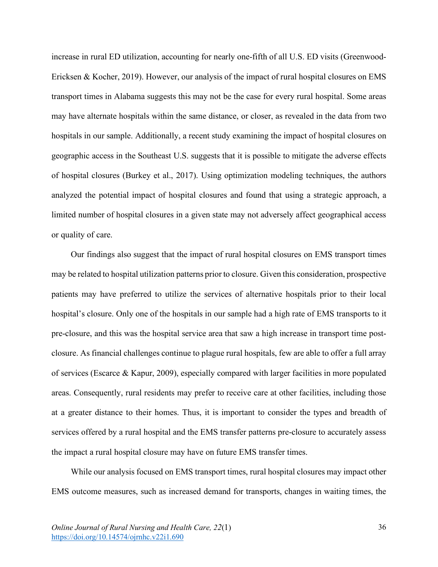increase in rural ED utilization, accounting for nearly one-fifth of all U.S. ED visits (Greenwood-Ericksen & Kocher, 2019). However, our analysis of the impact of rural hospital closures on EMS transport times in Alabama suggests this may not be the case for every rural hospital. Some areas may have alternate hospitals within the same distance, or closer, as revealed in the data from two hospitals in our sample. Additionally, a recent study examining the impact of hospital closures on geographic access in the Southeast U.S. suggests that it is possible to mitigate the adverse effects of hospital closures (Burkey et al., 2017). Using optimization modeling techniques, the authors analyzed the potential impact of hospital closures and found that using a strategic approach, a limited number of hospital closures in a given state may not adversely affect geographical access or quality of care.

Our findings also suggest that the impact of rural hospital closures on EMS transport times may be related to hospital utilization patterns prior to closure. Given this consideration, prospective patients may have preferred to utilize the services of alternative hospitals prior to their local hospital's closure. Only one of the hospitals in our sample had a high rate of EMS transports to it pre-closure, and this was the hospital service area that saw a high increase in transport time postclosure. As financial challenges continue to plague rural hospitals, few are able to offer a full array of services (Escarce & Kapur, 2009), especially compared with larger facilities in more populated areas. Consequently, rural residents may prefer to receive care at other facilities, including those at a greater distance to their homes. Thus, it is important to consider the types and breadth of services offered by a rural hospital and the EMS transfer patterns pre-closure to accurately assess the impact a rural hospital closure may have on future EMS transfer times.

While our analysis focused on EMS transport times, rural hospital closures may impact other EMS outcome measures, such as increased demand for transports, changes in waiting times, the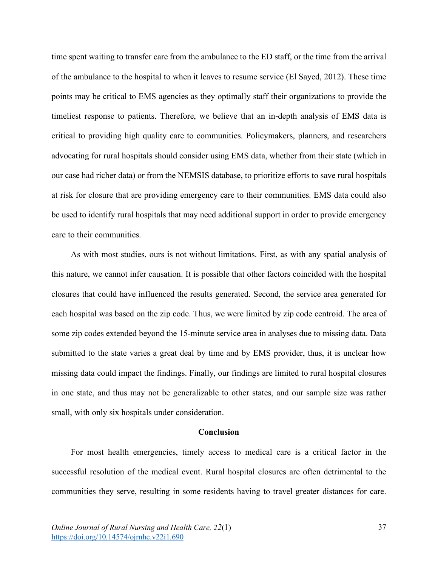time spent waiting to transfer care from the ambulance to the ED staff, or the time from the arrival of the ambulance to the hospital to when it leaves to resume service (El Sayed, 2012). These time points may be critical to EMS agencies as they optimally staff their organizations to provide the timeliest response to patients. Therefore, we believe that an in-depth analysis of EMS data is critical to providing high quality care to communities. Policymakers, planners, and researchers advocating for rural hospitals should consider using EMS data, whether from their state (which in our case had richer data) or from the NEMSIS database, to prioritize efforts to save rural hospitals at risk for closure that are providing emergency care to their communities. EMS data could also be used to identify rural hospitals that may need additional support in order to provide emergency care to their communities.

As with most studies, ours is not without limitations. First, as with any spatial analysis of this nature, we cannot infer causation. It is possible that other factors coincided with the hospital closures that could have influenced the results generated. Second, the service area generated for each hospital was based on the zip code. Thus, we were limited by zip code centroid. The area of some zip codes extended beyond the 15-minute service area in analyses due to missing data. Data submitted to the state varies a great deal by time and by EMS provider, thus, it is unclear how missing data could impact the findings. Finally, our findings are limited to rural hospital closures in one state, and thus may not be generalizable to other states, and our sample size was rather small, with only six hospitals under consideration.

### **Conclusion**

For most health emergencies, timely access to medical care is a critical factor in the successful resolution of the medical event. Rural hospital closures are often detrimental to the communities they serve, resulting in some residents having to travel greater distances for care.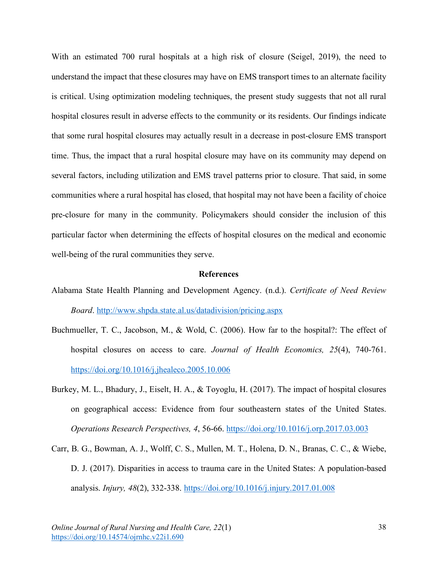With an estimated 700 rural hospitals at a high risk of closure (Seigel, 2019), the need to understand the impact that these closures may have on EMS transport times to an alternate facility is critical. Using optimization modeling techniques, the present study suggests that not all rural hospital closures result in adverse effects to the community or its residents. Our findings indicate that some rural hospital closures may actually result in a decrease in post-closure EMS transport time. Thus, the impact that a rural hospital closure may have on its community may depend on several factors, including utilization and EMS travel patterns prior to closure. That said, in some communities where a rural hospital has closed, that hospital may not have been a facility of choice pre-closure for many in the community. Policymakers should consider the inclusion of this particular factor when determining the effects of hospital closures on the medical and economic well-being of the rural communities they serve.

### **References**

- Alabama State Health Planning and Development Agency. (n.d.). *Certificate of Need Review Board*. http://www.shpda.state.al.us/datadivision/pricing.aspx
- Buchmueller, T. C., Jacobson, M., & Wold, C. (2006). How far to the hospital?: The effect of hospital closures on access to care. *Journal of Health Economics, 25*(4), 740-761. https://doi.org/10.1016/j.jhealeco.2005.10.006
- Burkey, M. L., Bhadury, J., Eiselt, H. A., & Toyoglu, H. (2017). The impact of hospital closures on geographical access: Evidence from four southeastern states of the United States. *Operations Research Perspectives, 4*, 56-66. https://doi.org/10.1016/j.orp.2017.03.003
- Carr, B. G., Bowman, A. J., Wolff, C. S., Mullen, M. T., Holena, D. N., Branas, C. C., & Wiebe, D. J. (2017). Disparities in access to trauma care in the United States: A population-based analysis. *Injury, 48*(2), 332-338. https://doi.org/10.1016/j.injury.2017.01.008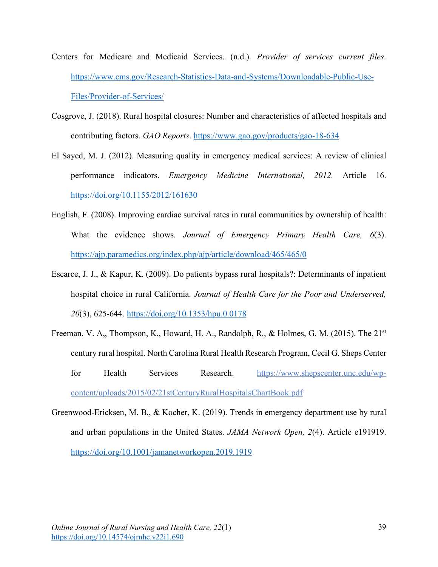- Centers for Medicare and Medicaid Services. (n.d.). *Provider of services current files*. https://www.cms.gov/Research-Statistics-Data-and-Systems/Downloadable-Public-Use-Files/Provider-of-Services/
- Cosgrove, J. (2018). Rural hospital closures: Number and characteristics of affected hospitals and contributing factors. *GAO Reports*. https://www.gao.gov/products/gao-18-634
- El Sayed, M. J. (2012). Measuring quality in emergency medical services: A review of clinical performance indicators. *Emergency Medicine International, 2012.* Article 16. https://doi.org/10.1155/2012/161630
- English, F. (2008). Improving cardiac survival rates in rural communities by ownership of health: What the evidence shows. *Journal of Emergency Primary Health Care, 6*(3). https://ajp.paramedics.org/index.php/ajp/article/download/465/465/0
- Escarce, J. J., & Kapur, K. (2009). Do patients bypass rural hospitals?: Determinants of inpatient hospital choice in rural California. *Journal of Health Care for the Poor and Underserved, 20*(3), 625-644. https://doi.org/10.1353/hpu.0.0178
- Freeman, V. A., Thompson, K., Howard, H. A., Randolph, R., & Holmes, G. M. (2015). The 21<sup>st</sup> century rural hospital. North Carolina Rural Health Research Program, Cecil G. Sheps Center for Health Services Research. https://www.shepscenter.unc.edu/wpcontent/uploads/2015/02/21stCenturyRuralHospitalsChartBook.pdf
- Greenwood-Ericksen, M. B., & Kocher, K. (2019). Trends in emergency department use by rural and urban populations in the United States. *JAMA Network Open, 2*(4). Article e191919. https://doi.org/10.1001/jamanetworkopen.2019.1919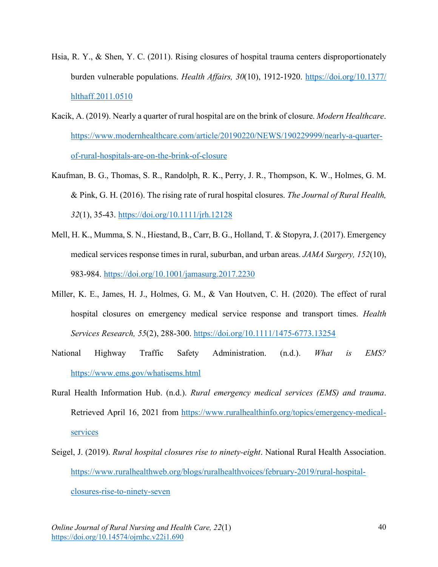- Hsia, R. Y., & Shen, Y. C. (2011). Rising closures of hospital trauma centers disproportionately burden vulnerable populations. *Health Affairs, 30*(10), 1912-1920. https://doi.org/10.1377/ hlthaff.2011.0510
- Kacik, A. (2019). Nearly a quarter of rural hospital are on the brink of closure. *Modern Healthcare*. https://www.modernhealthcare.com/article/20190220/NEWS/190229999/nearly-a-quarterof-rural-hospitals-are-on-the-brink-of-closure
- Kaufman, B. G., Thomas, S. R., Randolph, R. K., Perry, J. R., Thompson, K. W., Holmes, G. M. & Pink, G. H. (2016). The rising rate of rural hospital closures. *The Journal of Rural Health, 32*(1), 35-43. https://doi.org/10.1111/jrh.12128
- Mell, H. K., Mumma, S. N., Hiestand, B., Carr, B. G., Holland, T. & Stopyra, J. (2017). Emergency medical services response times in rural, suburban, and urban areas. *JAMA Surgery, 152*(10), 983-984. https://doi.org/10.1001/jamasurg.2017.2230
- Miller, K. E., James, H. J., Holmes, G. M., & Van Houtven, C. H. (2020). The effect of rural hospital closures on emergency medical service response and transport times. *Health Services Research, 55*(2), 288-300. https://doi.org/10.1111/1475-6773.13254
- National Highway Traffic Safety Administration. (n.d.). *What is EMS?* https://www.ems.gov/whatisems.html
- Rural Health Information Hub. (n.d.). *Rural emergency medical services (EMS) and trauma*. Retrieved April 16, 2021 from https://www.ruralhealthinfo.org/topics/emergency-medicalservices
- Seigel, J. (2019). *Rural hospital closures rise to ninety-eight*. National Rural Health Association. https://www.ruralhealthweb.org/blogs/ruralhealthvoices/february-2019/rural-hospital-

closures-rise-to-ninety-seven